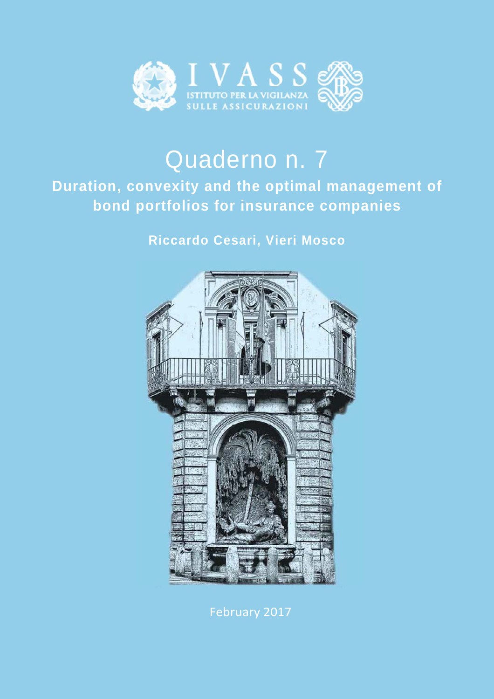

# Quaderno n. 7

# **Duration, convexity and the optimal management of bond portfolios for insurance companies**

# **Riccardo Cesari, Vieri Mosco**



February 2017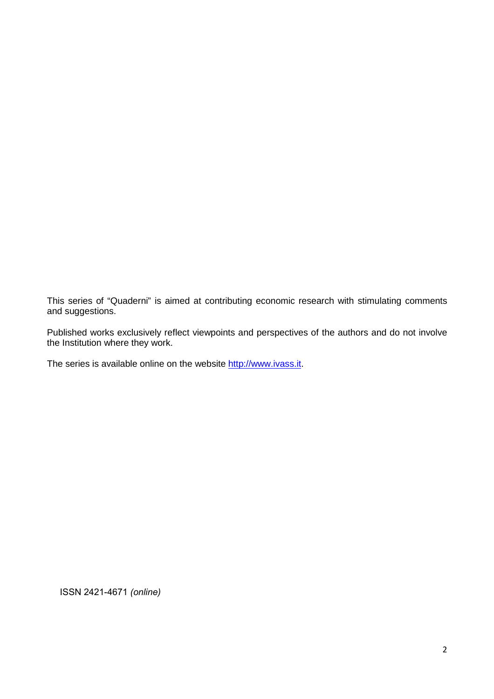This series of "Quaderni" is aimed at contributing economic research with stimulating comments and suggestions.

Published works exclusively reflect viewpoints and perspectives of the authors and do not involve the Institution where they work.

The series is available online on the website http://www.ivass.it.

ISSN 2421-4671 *(online)*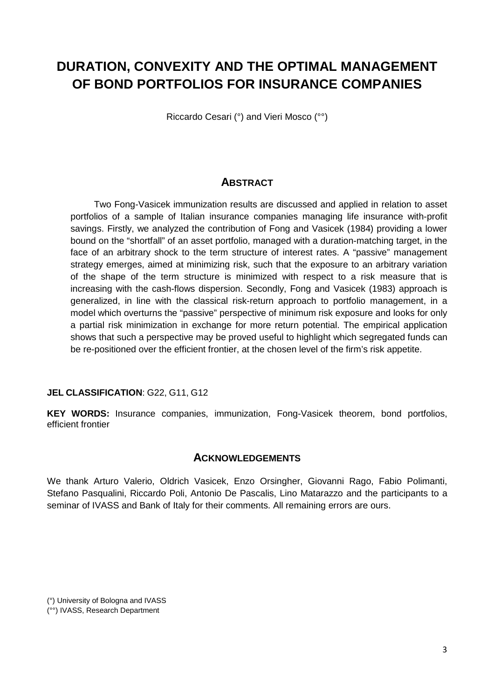# **DURATION, CONVEXITY AND THE OPTIMAL MANAGEMENT OF BOND PORTFOLIOS FOR INSURANCE COMPANIES**

Riccardo Cesari (°) and Vieri Mosco (°°)

# **ABSTRACT**

Two Fong-Vasicek immunization results are discussed and applied in relation to asset portfolios of a sample of Italian insurance companies managing life insurance with-profit savings. Firstly, we analyzed the contribution of Fong and Vasicek (1984) providing a lower bound on the "shortfall" of an asset portfolio, managed with a duration-matching target, in the face of an arbitrary shock to the term structure of interest rates. A "passive" management strategy emerges, aimed at minimizing risk, such that the exposure to an arbitrary variation of the shape of the term structure is minimized with respect to a risk measure that is increasing with the cash-flows dispersion. Secondly, Fong and Vasicek (1983) approach is generalized, in line with the classical risk-return approach to portfolio management, in a model which overturns the "passive" perspective of minimum risk exposure and looks for only a partial risk minimization in exchange for more return potential. The empirical application shows that such a perspective may be proved useful to highlight which segregated funds can be re-positioned over the efficient frontier, at the chosen level of the firm's risk appetite.

#### **JEL CLASSIFICATION**: G22, G11, G12

**KEY WORDS:** Insurance companies, immunization, Fong-Vasicek theorem, bond portfolios, efficient frontier

### **ACKNOWLEDGEMENTS**

We thank Arturo Valerio, Oldrich Vasicek, Enzo Orsingher, Giovanni Rago, Fabio Polimanti, Stefano Pasqualini, Riccardo Poli, Antonio De Pascalis, Lino Matarazzo and the participants to a seminar of IVASS and Bank of Italy for their comments. All remaining errors are ours.

<sup>(°)</sup> University of Bologna and IVASS (°°) IVASS, Research Department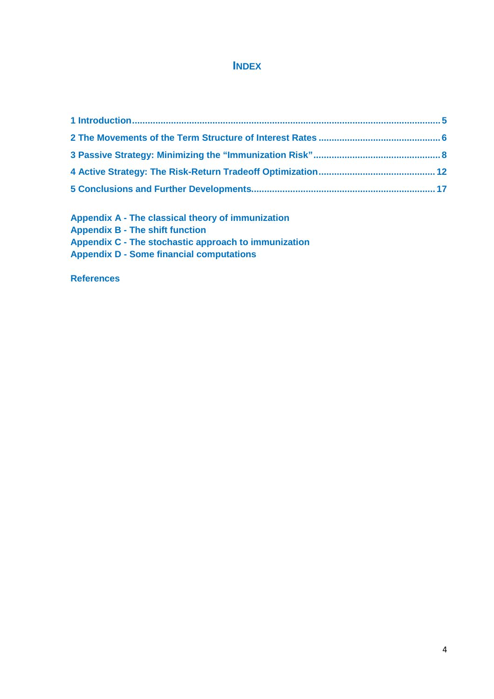## **INDEX**

**Appendix A - The classical theory of immunization Appendix B - The shift function Appendix C - The stochastic approach to immunization Appendix D - Some financial computations** 

**References**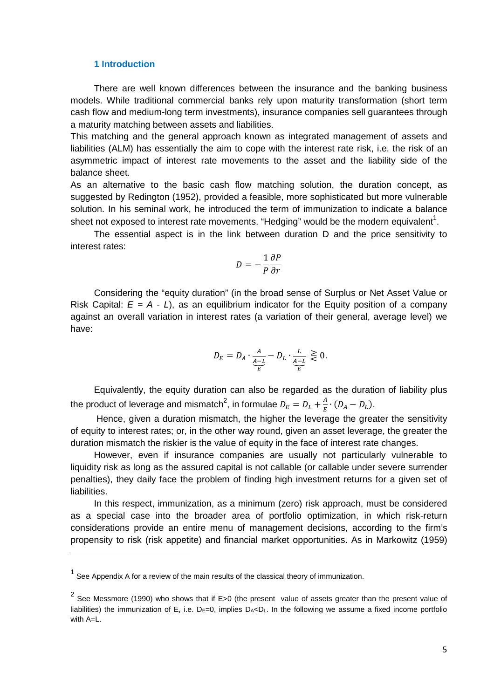#### **1 Introduction**

There are well known differences between the insurance and the banking business models. While traditional commercial banks rely upon maturity transformation (short term cash flow and medium-long term investments), insurance companies sell guarantees through a maturity matching between assets and liabilities.

This matching and the general approach known as integrated management of assets and liabilities (ALM) has essentially the aim to cope with the interest rate risk, i.e. the risk of an asymmetric impact of interest rate movements to the asset and the liability side of the balance sheet.

As an alternative to the basic cash flow matching solution, the duration concept, as suggested by Redington (1952), provided a feasible, more sophisticated but more vulnerable solution. In his seminal work, he introduced the term of immunization to indicate a balance sheet not exposed to interest rate movements. "Hedging" would be the modern equivalent<sup>1</sup>.

The essential aspect is in the link between duration D and the price sensitivity to interest rates:

$$
D = -\frac{1}{P} \frac{\partial P}{\partial r}
$$

Considering the "equity duration" (in the broad sense of Surplus or Net Asset Value or Risk Capital:  $E = A - L$ ), as an equilibrium indicator for the Equity position of a company against an overall variation in interest rates (a variation of their general, average level) we have:

$$
D_E=D_A\cdot \underbrace{\tfrac{A}{\mathcal{A}-L}}_{\widetilde{E}}-D_L\cdot \underbrace{\tfrac{L}{\mathcal{A}-L}}_{\widetilde{E}}\ \gtrless\ 0.
$$

Equivalently, the equity duration can also be regarded as the duration of liability plus the product of leverage and mismatch $^2$ , in formulae  $D_E=D_L+\frac{A}{E}$  $\frac{A}{E} \cdot (D_A - D_L).$ 

 Hence, given a duration mismatch, the higher the leverage the greater the sensitivity of equity to interest rates; or, in the other way round, given an asset leverage, the greater the duration mismatch the riskier is the value of equity in the face of interest rate changes.

However, even if insurance companies are usually not particularly vulnerable to liquidity risk as long as the assured capital is not callable (or callable under severe surrender penalties), they daily face the problem of finding high investment returns for a given set of liabilities.

In this respect, immunization, as a minimum (zero) risk approach, must be considered as a special case into the broader area of portfolio optimization, in which risk-return considerations provide an entire menu of management decisions, according to the firm's propensity to risk (risk appetite) and financial market opportunities. As in Markowitz (1959)

 $1$  See Appendix A for a review of the main results of the classical theory of immunization.

<sup>&</sup>lt;sup>2</sup> See Messmore (1990) who shows that if E>0 (the present value of assets greater than the present value of liabilities) the immunization of E, i.e.  $D_E=0$ , implies  $D_A<sub>A</sub>$ , In the following we assume a fixed income portfolio with A=L.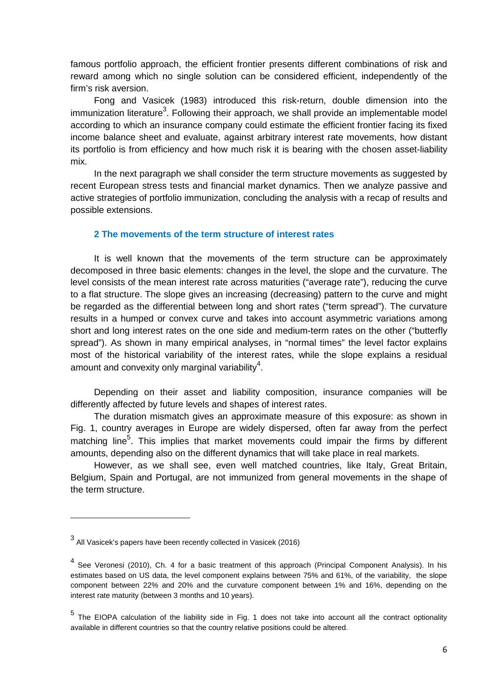famous portfolio approach, the efficient frontier presents different combinations of risk and reward among which no single solution can be considered efficient, independently of the firm's risk aversion.

Fong and Vasicek (1983) introduced this risk-return, double dimension into the immunization literature<sup>3</sup>. Following their approach, we shall provide an implementable model according to which an insurance company could estimate the efficient frontier facing its fixed income balance sheet and evaluate, against arbitrary interest rate movements, how distant its portfolio is from efficiency and how much risk it is bearing with the chosen asset-liability mix.

In the next paragraph we shall consider the term structure movements as suggested by recent European stress tests and financial market dynamics. Then we analyze passive and active strategies of portfolio immunization, concluding the analysis with a recap of results and possible extensions.

### **2 The movements of the term structure of interest rates**

It is well known that the movements of the term structure can be approximately decomposed in three basic elements: changes in the level, the slope and the curvature. The level consists of the mean interest rate across maturities ("average rate"), reducing the curve to a flat structure. The slope gives an increasing (decreasing) pattern to the curve and might be regarded as the differential between long and short rates ("term spread"). The curvature results in a humped or convex curve and takes into account asymmetric variations among short and long interest rates on the one side and medium-term rates on the other ("butterfly spread"). As shown in many empirical analyses, in "normal times" the level factor explains most of the historical variability of the interest rates, while the slope explains a residual amount and convexity only marginal variability $4$ .

Depending on their asset and liability composition, insurance companies will be differently affected by future levels and shapes of interest rates.

The duration mismatch gives an approximate measure of this exposure: as shown in Fig. 1, country averages in Europe are widely dispersed, often far away from the perfect matching line<sup>5</sup>. This implies that market movements could impair the firms by different amounts, depending also on the different dynamics that will take place in real markets.

However, as we shall see, even well matched countries, like Italy, Great Britain, Belgium, Spain and Portugal, are not immunized from general movements in the shape of the term structure.

 $^3$  All Vasicek's papers have been recently collected in Vasicek (2016)

<sup>&</sup>lt;sup>4</sup> See Veronesi (2010), Ch. 4 for a basic treatment of this approach (Principal Component Analysis). In his estimates based on US data, the level component explains between 75% and 61%, of the variability, the slope component between 22% and 20% and the curvature component between 1% and 16%, depending on the interest rate maturity (between 3 months and 10 years).

<sup>&</sup>lt;sup>5</sup> The EIOPA calculation of the liability side in Fig. 1 does not take into account all the contract optionality available in different countries so that the country relative positions could be altered.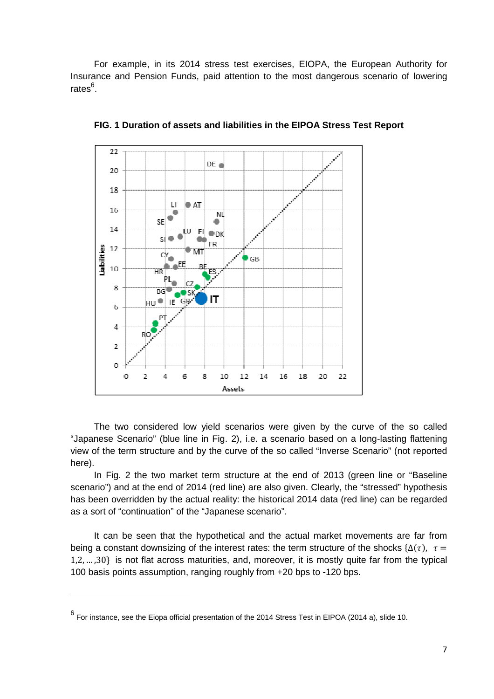For example, in its 2014 stress test exercises, EIOPA, the European Authority for Insurance and Pension Funds, paid attention to the most dangerous scenario of lowering rates<sup>6</sup>.



**FIG. 1 Duration of assets and liabilities in the EIPOA Stress Test Report** 

The two considered low yield scenarios were given by the curve of the so called "Japanese Scenario" (blue line in Fig. 2), i.e. a scenario based on a long-lasting flattening view of the term structure and by the curve of the so called "Inverse Scenario" (not reported here).

In Fig. 2 the two market term structure at the end of 2013 (green line or "Baseline scenario") and at the end of 2014 (red line) are also given. Clearly, the "stressed" hypothesis has been overridden by the actual reality: the historical 2014 data (red line) can be regarded as a sort of "continuation" of the "Japanese scenario".

It can be seen that the hypothetical and the actual market movements are far from being a constant downsizing of the interest rates: the term structure of the shocks { $\Delta(\tau)$ ,  $\tau =$ 1,2, … ,30 is not flat across maturities, and, moreover, it is mostly quite far from the typical 100 basis points assumption, ranging roughly from +20 bps to -120 bps.

<sup>6</sup> For instance, see the Eiopa official presentation of the 2014 Stress Test in EIPOA (2014 a), slide 10.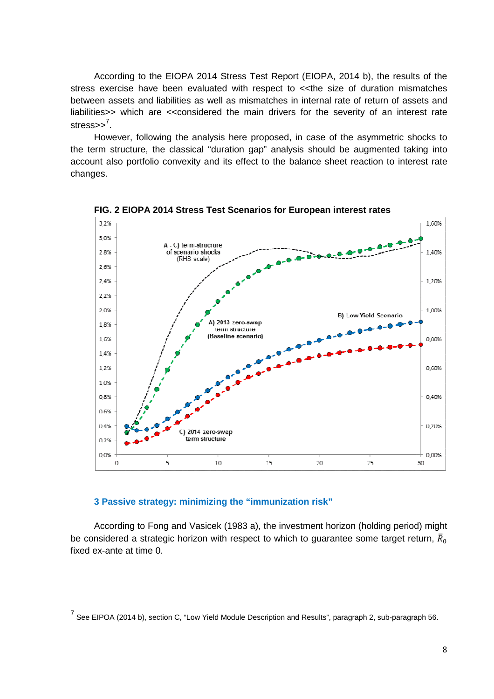According to the EIOPA 2014 Stress Test Report (EIOPA, 2014 b), the results of the stress exercise have been evaluated with respect to <<the size of duration mismatches between assets and liabilities as well as mismatches in internal rate of return of assets and liabilities>> which are <<considered the main drivers for the severity of an interest rate stress>><sup>7</sup>.

However, following the analysis here proposed, in case of the asymmetric shocks to the term structure, the classical "duration gap" analysis should be augmented taking into account also portfolio convexity and its effect to the balance sheet reaction to interest rate changes.



**FIG. 2 EIOPA 2014 Stress Test Scenarios for European interest rates** 

#### **3 Passive strategy: minimizing the "immunization risk"**

According to Fong and Vasicek (1983 a), the investment horizon (holding period) might be considered a strategic horizon with respect to which to guarantee some target return,  $\bar{R}_0$ fixed ex-ante at time 0.

<sup>&</sup>lt;sup>7</sup> See EIPOA (2014 b), section C, "Low Yield Module Description and Results", paragraph 2, sub-paragraph 56.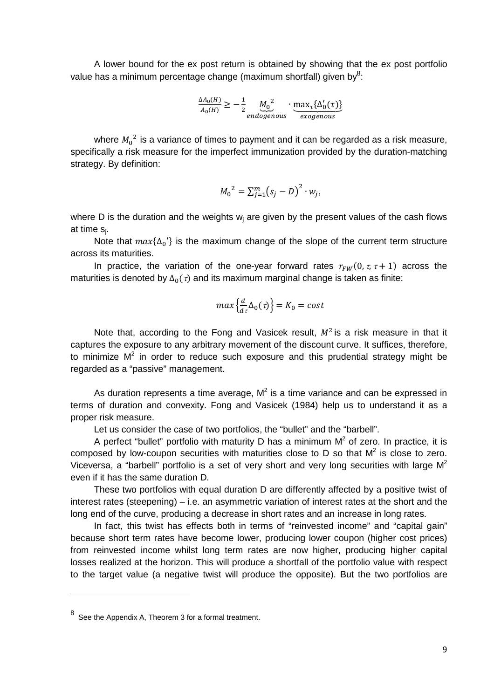A lower bound for the ex post return is obtained by showing that the ex post portfolio value has a minimum percentage change (maximum shortfall) given by<sup>8</sup>:

$$
\frac{\Delta A_0(H)}{A_0(H)} \ge -\frac{1}{2} \underbrace{M_0^2}_{endogenous} \cdot \underbrace{\max_{\tau} \{\Delta'_0(\tau)\}}_{exogenous}
$$

where  ${M_0}^2$  is a variance of times to payment and it can be regarded as a risk measure, specifically a risk measure for the imperfect immunization provided by the duration-matching strategy. By definition:

$$
M_0^2 = \sum_{j=1}^m (s_j - D)^2 \cdot w_j,
$$

where D is the duration and the weights  $w_j$  are given by the present values of the cash flows at time s<sub>j</sub>.

Note that  $max{\{\Delta_0'\}}$  is the maximum change of the slope of the current term structure across its maturities.

In practice, the variation of the one-year forward rates  $r_{FW}(0, \tau, \tau + 1)$  across the maturities is denoted by  $\Delta_0(\tau)$  and its maximum marginal change is taken as finite:

$$
max\left\{\frac{d}{d\tau}\Delta_0(\tau)\right\} = K_0 = cost
$$

Note that, according to the Fong and Vasicek result,  $M^2$  is a risk measure in that it captures the exposure to any arbitrary movement of the discount curve. It suffices, therefore, to minimize  $M^2$  in order to reduce such exposure and this prudential strategy might be regarded as a "passive" management.

As duration represents a time average,  $M^2$  is a time variance and can be expressed in terms of duration and convexity. Fong and Vasicek (1984) help us to understand it as a proper risk measure.

Let us consider the case of two portfolios, the "bullet" and the "barbell".

A perfect "bullet" portfolio with maturity D has a minimum  $M^2$  of zero. In practice, it is composed by low-coupon securities with maturities close to D so that  $M^2$  is close to zero. Viceversa, a "barbell" portfolio is a set of very short and very long securities with large  $M^2$ even if it has the same duration D.

These two portfolios with equal duration D are differently affected by a positive twist of interest rates (steepening) – i.e. an asymmetric variation of interest rates at the short and the long end of the curve, producing a decrease in short rates and an increase in long rates.

In fact, this twist has effects both in terms of "reinvested income" and "capital gain" because short term rates have become lower, producing lower coupon (higher cost prices) from reinvested income whilst long term rates are now higher, producing higher capital losses realized at the horizon. This will produce a shortfall of the portfolio value with respect to the target value (a negative twist will produce the opposite). But the two portfolios are

 $8<sup>8</sup>$  See the Appendix A, Theorem 3 for a formal treatment.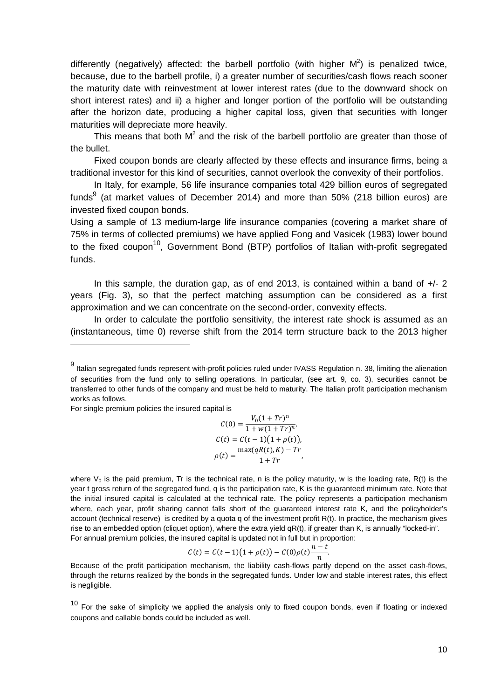differently (negatively) affected: the barbell portfolio (with higher  $M^2$ ) is penalized twice, because, due to the barbell profile, i) a greater number of securities/cash flows reach sooner the maturity date with reinvestment at lower interest rates (due to the downward shock on short interest rates) and ii) a higher and longer portion of the portfolio will be outstanding after the horizon date, producing a higher capital loss, given that securities with longer maturities will depreciate more heavily.

This means that both  $M^2$  and the risk of the barbell portfolio are greater than those of the bullet.

Fixed coupon bonds are clearly affected by these effects and insurance firms, being a traditional investor for this kind of securities, cannot overlook the convexity of their portfolios.

In Italy, for example, 56 life insurance companies total 429 billion euros of segregated funds<sup>9</sup> (at market values of December 2014) and more than 50% (218 billion euros) are invested fixed coupon bonds.

Using a sample of 13 medium-large life insurance companies (covering a market share of 75% in terms of collected premiums) we have applied Fong and Vasicek (1983) lower bound to the fixed coupon<sup>10</sup>, Government Bond (BTP) portfolios of Italian with-profit segregated funds.

In this sample, the duration gap, as of end 2013, is contained within a band of  $+/- 2$ years (Fig. 3), so that the perfect matching assumption can be considered as a first approximation and we can concentrate on the second-order, convexity effects.

In order to calculate the portfolio sensitivity, the interest rate shock is assumed as an (instantaneous, time 0) reverse shift from the 2014 term structure back to the 2013 higher

For single premium policies the insured capital is

$$
C(0) = \frac{V_0(1+Tr)^n}{1+w(1+Tr)^n},
$$
  
\n
$$
C(t) = C(t-1)(1+\rho(t)),
$$
  
\n
$$
\rho(t) = \frac{\max(qR(t),K) - Tr}{1+Tr},
$$

where  $V_0$  is the paid premium, Tr is the technical rate, n is the policy maturity, w is the loading rate, R(t) is the year t gross return of the segregated fund, q is the participation rate, K is the guaranteed minimum rate. Note that the initial insured capital is calculated at the technical rate. The policy represents a participation mechanism where, each year, profit sharing cannot falls short of the guaranteed interest rate K, and the policyholder's account (technical reserve) is credited by a quota q of the investment profit R(t). In practice, the mechanism gives rise to an embedded option (cliquet option), where the extra yield qR(t), if greater than K, is annually "locked-in". For annual premium policies, the insured capital is updated not in full but in proportion:

$$
C(t) = C(t-1)(1+\rho(t)) - C(0)\rho(t)\frac{n-t}{n}.
$$

Because of the profit participation mechanism, the liability cash-flows partly depend on the asset cash-flows, through the returns realized by the bonds in the segregated funds. Under low and stable interest rates, this effect is negligible.

 $10$  For the sake of simplicity we applied the analysis only to fixed coupon bonds, even if floating or indexed coupons and callable bonds could be included as well.

<sup>&</sup>lt;sup>9</sup> Italian segregated funds represent with-profit policies ruled under IVASS Regulation n. 38, limiting the alienation of securities from the fund only to selling operations. In particular, (see art. 9, co. 3), securities cannot be transferred to other funds of the company and must be held to maturity. The Italian profit participation mechanism works as follows.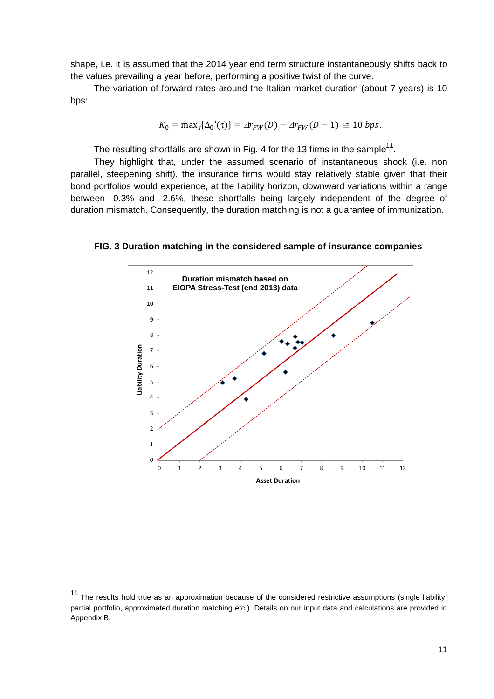shape, i.e. it is assumed that the 2014 year end term structure instantaneously shifts back to the values prevailing a year before, performing a positive twist of the curve.

The variation of forward rates around the Italian market duration (about 7 years) is 10 bps:

$$
K_0 = \max_{\tau} {\{\Delta_0{}'(\tau)\}} = \Delta r_{FW}(D) - \Delta r_{FW}(D-1) \approx 10 \text{ bps}.
$$

The resulting shortfalls are shown in Fig. 4 for the 13 firms in the sample<sup>11</sup>.

They highlight that, under the assumed scenario of instantaneous shock (i.e. non parallel, steepening shift), the insurance firms would stay relatively stable given that their bond portfolios would experience, at the liability horizon, downward variations within a range between -0.3% and -2.6%, these shortfalls being largely independent of the degree of duration mismatch. Consequently, the duration matching is not a guarantee of immunization.

**FIG. 3 Duration matching in the considered sample of insurance companies** 



 $\overline{a}$ 

 $11$  The results hold true as an approximation because of the considered restrictive assumptions (single liability, partial portfolio, approximated duration matching etc.). Details on our input data and calculations are provided in Appendix B.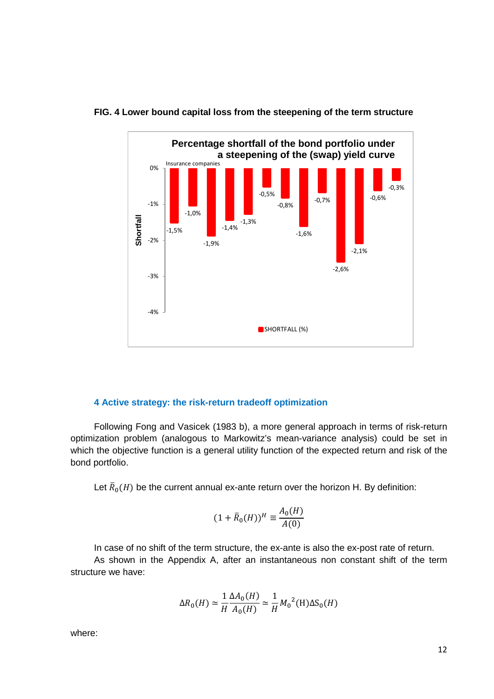

#### **FIG. 4 Lower bound capital loss from the steepening of the term structure**

#### **4 Active strategy: the risk-return tradeoff optimization**

Following Fong and Vasicek (1983 b), a more general approach in terms of risk-return optimization problem (analogous to Markowitz's mean-variance analysis) could be set in which the objective function is a general utility function of the expected return and risk of the bond portfolio.

Let  $\bar{R}_0(H)$  be the current annual ex-ante return over the horizon H. By definition:

$$
(1 + \bar{R}_0(H))^H \equiv \frac{A_0(H)}{A(0)}
$$

In case of no shift of the term structure, the ex-ante is also the ex-post rate of return.

As shown in the Appendix A, after an instantaneous non constant shift of the term structure we have:

$$
\Delta R_0(H) \simeq \frac{1}{H} \frac{\Delta A_0(H)}{A_0(H)} \simeq \frac{1}{H} {M_0}^2(H) \Delta S_0(H)
$$

where: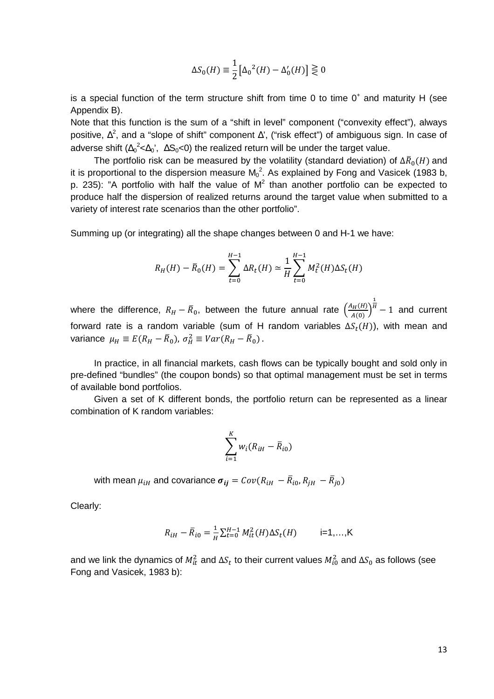$$
\Delta S_0(H) \equiv \frac{1}{2} \left[ \Delta_0^2(H) - \Delta'_0(H) \right] \gtrless 0
$$

is a special function of the term structure shift from time 0 to time  $0^+$  and maturity H (see Appendix B).

Note that this function is the sum of a "shift in level" component ("convexity effect"), always positive,  $\Delta^2$ , and a "slope of shift" component  $\Delta'$ , ("risk effect") of ambiguous sign. In case of adverse shift ( $\Delta_0^2$ < $\Delta_0$ ',  $\Delta S_0$ <0) the realized return will be under the target value.

The portfolio risk can be measured by the volatility (standard deviation) of  $\Delta \bar{R}_0(H)$  and  $\boldsymbol{0}$ it is proportional to the dispersion measure  $M_0^2$ . As explained by Fong and Vasicek (1983 b, p. 235): "A portfolio with half the value of  $M^2$  than another portfolio can be expected to produce half the dispersion of realized returns around the target value when submitted to a variety of interest rate scenarios than the other portfolio".

Summing up (or integrating) all the shape changes between 0 and H-1 we have:

$$
R_H(H) - \bar{R}_0(H) = \sum_{t=0}^{H-1} \Delta R_t(H) \simeq \frac{1}{H} \sum_{t=0}^{H-1} M_t^2(H) \Delta S_t(H)
$$

where the difference,  $R_H - \bar{R}_0$ , between the future annual rate  $\left(\frac{A_H(H)}{A(0)}\right)$  $\overline{1}$  $h'' - 1$  and current forward rate is a random variable (sum of H random variables  $\Delta S_t(H)$ ), with mean and variance  $\mu_H \equiv E(R_H - \bar{R}_0)$ ,  $\sigma_H^2 \equiv Var(R_H - \bar{R}_0)$ .

In practice, in all financial markets, cash flows can be typically bought and sold only in pre-defined "bundles" (the coupon bonds) so that optimal management must be set in terms of available bond portfolios.

Given a set of K different bonds, the portfolio return can be represented as a linear combination of K random variables:

$$
\sum_{i=1}^K w_i (R_{iH} - \overline{R}_{i0})
$$

with mean  $\mu_{iH}$  and covariance  $\pmb{\sigma_{ij}} = Cov(R_{iH} \; - \bar{R}_{i0}, R_{jH} \; - \bar{R}_{j0})$ 

Clearly:

$$
R_{iH} - \bar{R}_{i0} = \frac{1}{H} \sum_{t=0}^{H-1} M_{it}^2(H) \Delta S_t(H) \qquad \text{ i=1,...,K}
$$

and we link the dynamics of  $M_{it}^2$  and  $\Delta S_t$  to their current values  $M_{i0}^2$  and  $\Delta S_0$  as follows (see Fong and Vasicek, 1983 b):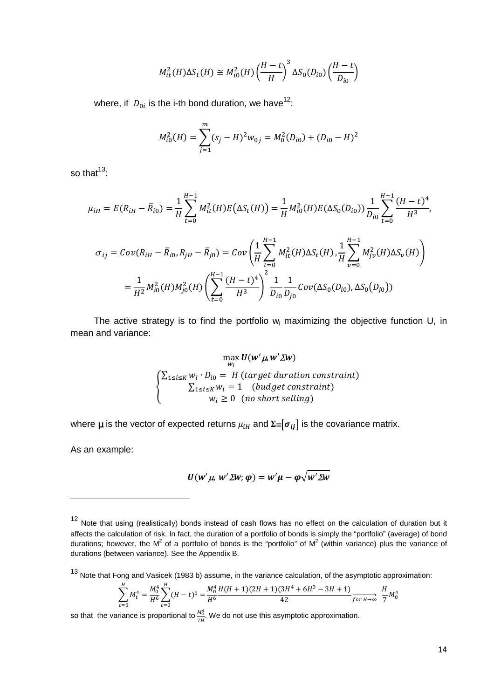$$
M_{it}^2(H)\Delta S_t(H) \cong M_{i0}^2(H) \left(\frac{H-t}{H}\right)^3 \Delta S_0(D_{i0}) \left(\frac{H-t}{D_{i0}}\right)
$$

where, if  $D_{0i}$  is the i-th bond duration, we have<sup>12</sup>:

$$
M_{i0}^2(H) = \sum_{j=1}^m (s_j - H)^2 w_{0j} = M_0^2(D_{i0}) + (D_{i0} - H)^2
$$

so that $13$ .

$$
\mu_{iH} = E(R_{iH} - \bar{R}_{i0}) = \frac{1}{H} \sum_{t=0}^{H-1} M_{it}^2(H) E(\Delta S_t(H)) = \frac{1}{H} M_{i0}^2(H) E(\Delta S_0(D_{i0})) \frac{1}{D_{i0}} \sum_{t=0}^{H-1} \frac{(H-t)^4}{H^3},
$$
  

$$
\sigma_{ij} = Cov(R_{iH} - \bar{R}_{i0}, R_{jH} - \bar{R}_{j0}) = Cov\left(\frac{1}{H} \sum_{t=0}^{H-1} M_{it}^2(H) \Delta S_t(H), \frac{1}{H} \sum_{v=0}^{H-1} M_{jv}^2(H) \Delta S_v(H)\right)
$$

$$
= \frac{1}{H^2} M_{i0}^2(H) M_{j0}^2(H) \left(\sum_{t=0}^{H-1} \frac{(H-t)^4}{H^3}\right)^2 \frac{1}{D_{i0}} \frac{1}{D_{j0}} Cov(\Delta S_0(D_{i0}), \Delta S_0(D_{j0}))
$$

The active strategy is to find the portfolio  $w_i$  maximizing the objective function U, in mean and variance:

$$
\max_{w_i} \mathbf{U}(\mathbf{w}' \mathbf{\mu}, \mathbf{w}' \mathbf{\Sigma} \mathbf{w})
$$
\n
$$
\begin{cases}\n\sum_{1 \le i \le K} w_i \cdot D_{i0} = H \text{ (target duration constraint)} \\
\sum_{1 \le i \le K} w_i = 1 \quad \text{(budget constraint)} \\
w_i \ge 0 \quad \text{(no short selling)}\n\end{cases}
$$

where  $\mu$  is the vector of expected returns  $\mu_{iH}$  and  $\Sigma = [\sigma_{ii}]$  is the covariance matrix.

As an example:

 $\overline{a}$ 

$$
U(w'\mu, w'\Sigma w; \varphi) = w'\mu - \varphi\sqrt{w'\Sigma w}
$$

$$
\sum_{t=0}^{H} M_t^4 = \frac{M_0^4}{H^6} \sum_{t=0}^{H} (H-t)^6 = \frac{M_0^4}{H^6} \frac{H(H+1)(2H+1)(3H^4+6H^3-3H+1)}{42} \xrightarrow{f \text{ or } H \to \infty} \frac{H}{7} M_0^4
$$

so that the variance is proportional to  $\frac{M_0^4}{\pi}$  $\frac{m_0}{7H}$ . We do not use this asymptotic approximation.

 $12$  Note that using (realistically) bonds instead of cash flows has no effect on the calculation of duration but it affects the calculation of risk. In fact, the duration of a portfolio of bonds is simply the "portfolio" (average) of bond durations; however, the M<sup>2</sup> of a portfolio of bonds is the "portfolio" of M<sup>2</sup> (within variance) plus the variance of durations (between variance). See the Appendix B.

<sup>13</sup> Note that Fong and Vasicek (1983 b) assume, in the variance calculation, of the asymptotic approximation: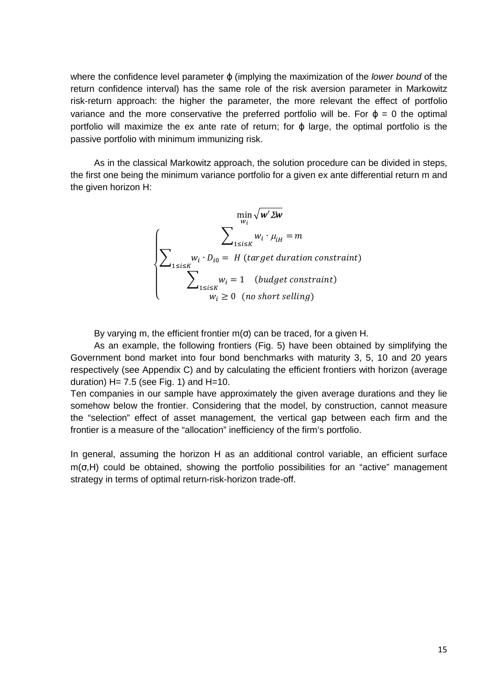where the confidence level parameter  $\varphi$  (implying the maximization of the lower bound of the return confidence interval) has the same role of the risk aversion parameter in Markowitz risk-return approach: the higher the parameter, the more relevant the effect of portfolio variance and the more conservative the preferred portfolio will be. For  $\varphi = 0$  the optimal portfolio will maximize the ex ante rate of return; for  $\varphi$  large, the optimal portfolio is the passive portfolio with minimum immunizing risk.

As in the classical Markowitz approach, the solution procedure can be divided in steps, the first one being the minimum variance portfolio for a given ex ante differential return m and the given horizon H:

$$
\min_{w_i} \sqrt{\mathbf{w}' \mathbf{\Sigma w}}
$$
\n
$$
\sum_{1 \le i \le K} w_i \cdot \mu_{iH} = m
$$
\n
$$
\sum_{1 \le i \le K} w_i \cdot D_{i0} = H \text{ (target duration constraint)}
$$
\n
$$
\sum_{1 \le i \le K} w_i = 1 \quad \text{(budget constraint)}
$$
\n
$$
w_i \ge 0 \quad \text{(no short selling)}
$$

By varying m, the efficient frontier  $m(\sigma)$  can be traced, for a given H.

As an example, the following frontiers (Fig. 5) have been obtained by simplifying the Government bond market into four bond benchmarks with maturity 3, 5, 10 and 20 years respectively (see Appendix C) and by calculating the efficient frontiers with horizon (average duration)  $H = 7.5$  (see Fig. 1) and  $H = 10$ .

Ten companies in our sample have approximately the given average durations and they lie somehow below the frontier. Considering that the model, by construction, cannot measure the "selection" effect of asset management, the vertical gap between each firm and the frontier is a measure of the "allocation" inefficiency of the firm's portfolio.

In general, assuming the horizon H as an additional control variable, an efficient surface  $m(σ,H)$  could be obtained, showing the portfolio possibilities for an "active" management strategy in terms of optimal return-risk-horizon trade-off.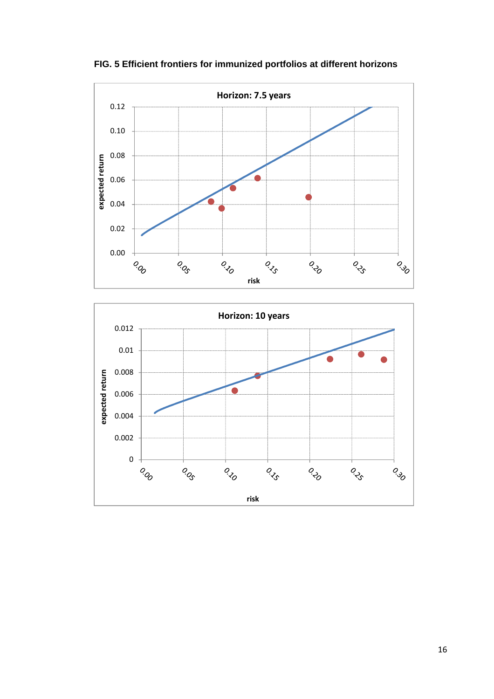

**FIG. 5 Efficient frontiers for immunized portfolios at different horizons** 

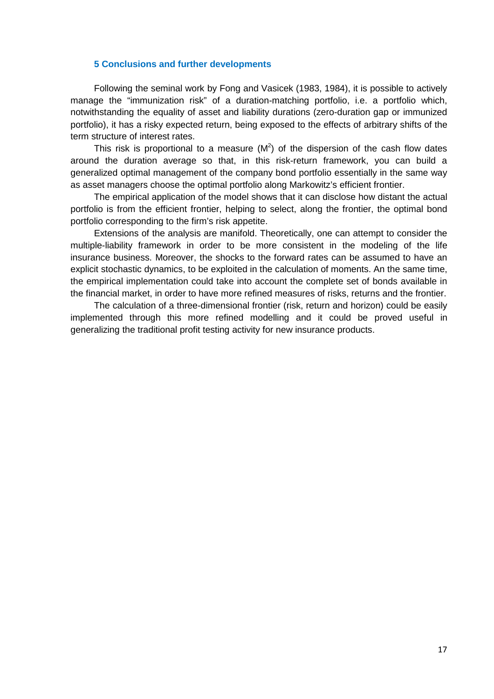#### **5 Conclusions and further developments**

Following the seminal work by Fong and Vasicek (1983, 1984), it is possible to actively manage the "immunization risk" of a duration-matching portfolio, i.e. a portfolio which, notwithstanding the equality of asset and liability durations (zero-duration gap or immunized portfolio), it has a risky expected return, being exposed to the effects of arbitrary shifts of the term structure of interest rates.

This risk is proportional to a measure  $(M^2)$  of the dispersion of the cash flow dates around the duration average so that, in this risk-return framework, you can build a generalized optimal management of the company bond portfolio essentially in the same way as asset managers choose the optimal portfolio along Markowitz's efficient frontier.

The empirical application of the model shows that it can disclose how distant the actual portfolio is from the efficient frontier, helping to select, along the frontier, the optimal bond portfolio corresponding to the firm's risk appetite.

Extensions of the analysis are manifold. Theoretically, one can attempt to consider the multiple-liability framework in order to be more consistent in the modeling of the life insurance business. Moreover, the shocks to the forward rates can be assumed to have an explicit stochastic dynamics, to be exploited in the calculation of moments. An the same time, the empirical implementation could take into account the complete set of bonds available in the financial market, in order to have more refined measures of risks, returns and the frontier.

The calculation of a three-dimensional frontier (risk, return and horizon) could be easily implemented through this more refined modelling and it could be proved useful in generalizing the traditional profit testing activity for new insurance products.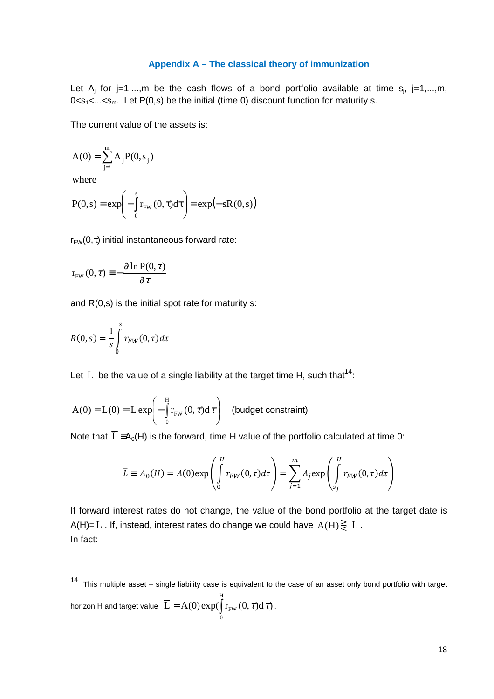#### **Appendix A – The classical theory of immunization**

Let  $A_j$  for j=1,...,m be the cash flows of a bond portfolio available at time  $s_j$ , j=1,...,m,  $0 < s<sub>1</sub> < ... < s<sub>m</sub>$ . Let P(0,s) be the initial (time 0) discount function for maturity s.

The current value of the assets is:

$$
A(0) = \sum_{j=1}^{m} A_j P(0, s_j)
$$

where

$$
P(0,s) = \exp\left(-\int_{0}^{s} r_{FW}(0,\tau)d\tau\right) = \exp(-sR(0,s))
$$

 $r_{FW}(0, \tau)$  initial instantaneous forward rate:

$$
r_{FW}(0, \tau) \equiv -\frac{\partial \ln P(0, \tau)}{\partial \tau}
$$

and  $R(0,s)$  is the initial spot rate for maturity s:

$$
R(0,s) = \frac{1}{s} \int\limits_0^s r_{FW}(0,\tau)d\tau
$$

Let  $\overline{L}$  be the value of a single liability at the target time H, such that<sup>14</sup>:

$$
A(0) = L(0) = \overline{L} \exp\left(-\int_{0}^{H} r_{FW}(0, \tau) d\tau\right)
$$
 (budget constraint)

Note that  $\overline{L} = A_0(H)$  is the forward, time H value of the portfolio calculated at time 0:

$$
\overline{L} \equiv A_0(H) = A(0) \exp\left(\int_0^H r_{FW}(0,\tau)d\tau\right) = \sum_{j=1}^m A_j \exp\left(\int_{s_j}^H r_{FW}(0,\tau)d\tau\right)
$$

If forward interest rates do not change, the value of the bond portfolio at the target date is A(H)=  $\overline{L}$  . If, instead, interest rates do change we could have  $A(H) \gtrless \overline{L}$  . In fact:

 $14$  This multiple asset – single liability case is equivalent to the case of an asset only bond portfolio with target horizon H and target value  $\overline{L} = A(0) \exp(\int$ H  $\mathbf{0}$  $L = A(0) \exp(\int r_{FW}(0, \tau) d\tau).$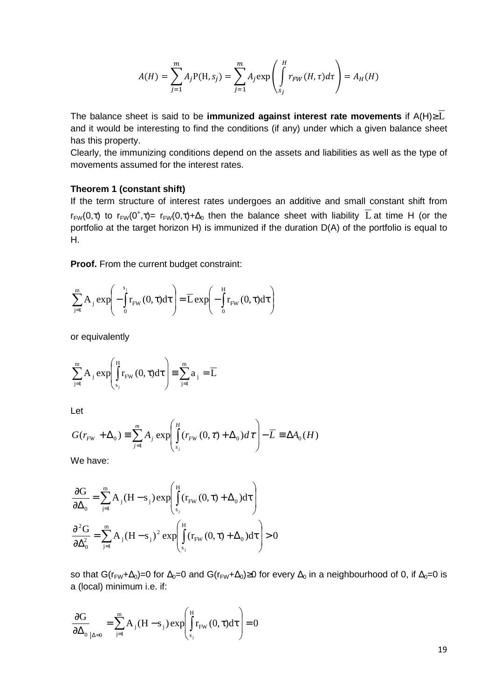$$
A(H) = \sum_{j=1}^{m} A_j P(H, s_j) = \sum_{j=1}^{m} A_j \exp\left(\int_{s_j}^{H} r_{FW}(H, \tau) d\tau\right) = A_H(H)
$$

The balance sheet is said to be **immunized against interest rate movements** if A(H)≥ $\overline{L}$ and it would be interesting to find the conditions (if any) under which a given balance sheet has this property.

Clearly, the immunizing conditions depend on the assets and liabilities as well as the type of movements assumed for the interest rates.

#### **Theorem 1 (constant shift)**

If the term structure of interest rates undergoes an additive and small constant shift from  $r_{FW}(0, \tau)$  to  $r_{FW}(0^+, \tau)$ =  $r_{FW}(0, \tau)$ + $\Delta_0$  then the balance sheet with liability  $\overline{L}$  at time H (or the portfolio at the target horizon H) is immunized if the duration D(A) of the portfolio is equal to H.

**Proof.** From the current budget constraint:

$$
\sum_{j=1}^{m} A_j \exp \left(-\int_{0}^{s_j} r_{FW}(0, \tau) d\tau\right) = \overline{L} \exp \left(-\int_{0}^{H} r_{FW}(0, \tau) d\tau\right)
$$

or equivalently

$$
\sum_{j=1}^{m} A_j \exp \left( \int_{s_j}^{H} r_{FW}(0, \tau) d\tau \right) \equiv \sum_{j=1}^{m} a_j = \overline{L}
$$

Let

$$
G(r_{FW} + \Delta_0) \equiv \sum_{j=1}^{m} A_j \exp\left(\int_{s_j}^{H} (r_{FW}(0, \tau) + \Delta_0) d\tau\right) - \overline{L} \equiv \Delta A_0(H)
$$

We have:

$$
\frac{\partial G}{\partial \Delta_0} = \sum_{j=1}^m A_j (H - s_j) \exp \left( \int_{s_j}^H (r_{FW}(0, \tau) + \Delta_0) d\tau \right)
$$

$$
\frac{\partial^2 G}{\partial \Delta_0^2} = \sum_{j=1}^m A_j (H - s_j)^2 \exp \left( \int_{s_j}^H (r_{FW}(0, \tau) + \Delta_0) d\tau \right) > 0
$$

so that G(r<sub>FW</sub>+∆<sub>0</sub>)=0 for  $\Delta_0=0$  and G(r<sub>FW</sub>+ $\Delta_0$ )≥0 for every  $\Delta_0$  in a neighbourhood of 0, if  $\Delta_0=0$  is a (local) minimum i.e. if:

$$
\frac{\partial G}{\partial \Delta_0}_{|\Delta=0} = \sum_{j=1}^{m} A_j (H - s_j) \exp \left( \int_{s_j}^{H} r_{FW}(0, \tau) d\tau \right) = 0
$$

19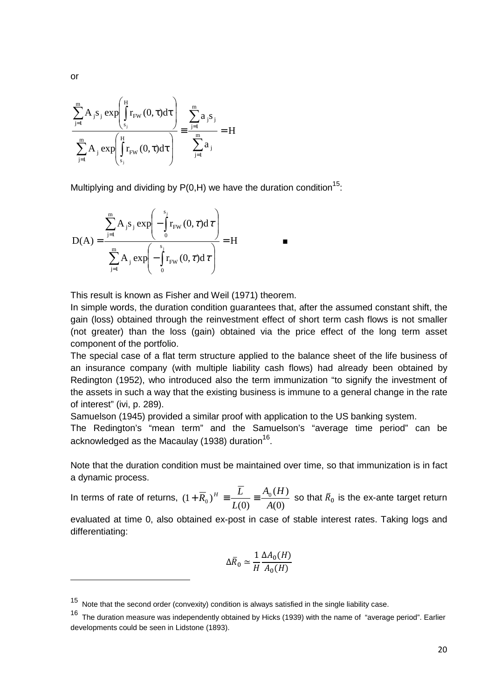$$
\frac{\sum_{j=1}^{m} A_{j} s_{j} \exp\left(\int_{s_{j}}^{H} r_{FW}(0, \tau) d\tau\right)}{\sum_{j=1}^{m} A_{j} \exp\left(\int_{s_{j}}^{H} r_{FW}(0, \tau) d\tau\right)} \equiv \frac{\sum_{j=1}^{m} a_{j} s_{j}}{\sum_{j=1}^{m} a_{j}} = H
$$

Multiplying and dividing by  $P(0,H)$  we have the duration condition<sup>15</sup>:

$$
D(A) = \frac{\sum_{j=1}^{m} A_{j} s_{j} \exp \left(-\int_{0}^{s_{j}} r_{FW}(0, \tau) d\tau\right)}{\sum_{j=1}^{m} A_{j} \exp \left(-\int_{0}^{s_{j}} r_{FW}(0, \tau) d\tau\right)} = H
$$

This result is known as Fisher and Weil (1971) theorem.

In simple words, the duration condition guarantees that, after the assumed constant shift, the gain (loss) obtained through the reinvestment effect of short term cash flows is not smaller (not greater) than the loss (gain) obtained via the price effect of the long term asset component of the portfolio.

The special case of a flat term structure applied to the balance sheet of the life business of an insurance company (with multiple liability cash flows) had already been obtained by Redington (1952), who introduced also the term immunization "to signify the investment of the assets in such a way that the existing business is immune to a general change in the rate of interest" (ivi, p. 289).

Samuelson (1945) provided a similar proof with application to the US banking system.

The Redington's "mean term" and the Samuelson's "average time period" can be acknowledged as the Macaulay (1938) duration $^{16}$ .

Note that the duration condition must be maintained over time, so that immunization is in fact a dynamic process.

In terms of rate of returns,  $(0)$  $(H)$  $(0)$  $(1 + \overline{R}_0)^H = \frac{L}{L(0)} = \frac{R_0}{A}$  $A_0$  (*H L*  $(\overline{R}_0)^H \equiv \frac{L}{L(\Omega)} \equiv \frac{A_0(H)}{A(\Omega)}$  so that  $\overline{R}_0$  is the ex-ante target return

evaluated at time 0, also obtained ex-post in case of stable interest rates. Taking logs and differentiating:

$$
\Delta \bar{R}_0 \simeq \frac{1}{H} \frac{\Delta A_0(H)}{A_0(H)}
$$

or

 $15$  Note that the second order (convexity) condition is always satisfied in the single liability case.

<sup>&</sup>lt;sup>16</sup> The duration measure was independently obtained by Hicks (1939) with the name of "average period". Earlier developments could be seen in Lidstone (1893).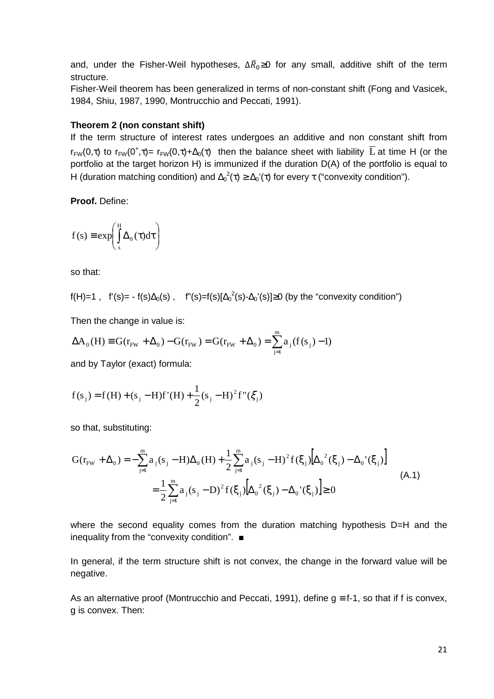and, under the Fisher-Weil hypotheses,  $\Delta \bar{R}_0$ ≥0 for any small, additive shift of the term structure.

Fisher-Weil theorem has been generalized in terms of non-constant shift (Fong and Vasicek, 1984, Shiu, 1987, 1990, Montrucchio and Peccati, 1991).

#### **Theorem 2 (non constant shift)**

If the term structure of interest rates undergoes an additive and non constant shift from  $r_{FW}(0, \tau)$  to  $r_{FW}(0^+, \tau)$ =  $r_{FW}(0, \tau)$ + $\Delta_0(\tau)$  then the balance sheet with liability  $\overline{L}$  at time H (or the portfolio at the target horizon H) is immunized if the duration D(A) of the portfolio is equal to H (duration matching condition) and  $\Delta_0^2(\tau) \geq \Delta_0'(\tau)$  for every  $\tau$  ("convexity condition").

**Proof.** Define:

$$
f(s) \equiv \exp\left(\int_{s}^{H} \Delta_0(\tau) d\tau\right)
$$

so that:

$$
f(H)=1
$$
,  $f'(s) = -f(s)\Delta_0(s)$ ,  $f''(s)=f(s)[\Delta_0^2(s)-\Delta_0'(s)] \ge 0$  (by the "convexity condition")

Then the change in value is:

$$
\Delta A_0(H) \equiv G(r_{FW} + \Delta_0) - G(r_{FW}) = G(r_{FW} + \Delta_0) = \sum_{j=1}^{m} a_j (f(s_j) - 1)
$$

and by Taylor (exact) formula:

$$
f(s_j) = f(H) + (s_j - H)f'(H) + \frac{1}{2}(s_j - H)^2 f''(\xi_j)
$$

so that, substituting:

$$
G(r_{FW} + \Delta_0) = -\sum_{j=1}^{m} a_j (s_j - H) \Delta_0(H) + \frac{1}{2} \sum_{j=1}^{m} a_j (s_j - H)^2 f(\xi_j) \Big[ \Delta_0^2(\xi_j) - \Delta_0'(\xi_j) \Big]
$$
  
= 
$$
\frac{1}{2} \sum_{j=1}^{m} a_j (s_j - D)^2 f(\xi_j) \Big[ \Delta_0^2(\xi_j) - \Delta_0'(\xi_j) \Big] \ge 0
$$
 (A.1)

where the second equality comes from the duration matching hypothesis D=H and the inequality from the "convexity condition". ■

In general, if the term structure shift is not convex, the change in the forward value will be negative.

As an alternative proof (Montrucchio and Peccati, 1991), define  $g \equiv f - 1$ , so that if f is convex, g is convex. Then: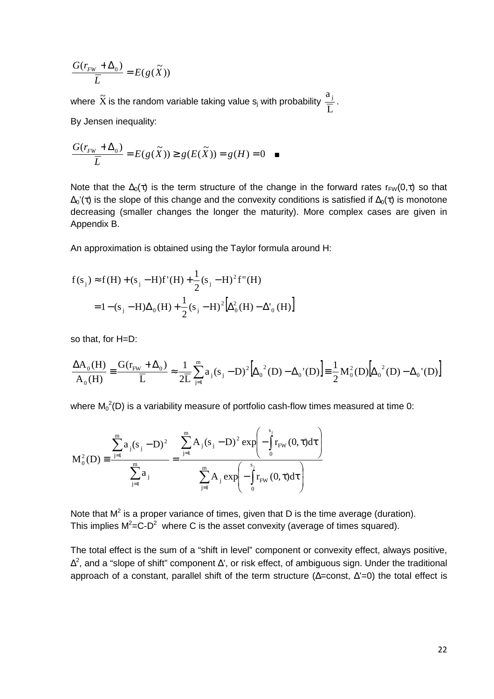$$
\frac{G(r_{FW} + \Delta_0)}{\overline{L}} = E(g(\widetilde{X}))
$$

where  $\tilde{\text{X}}$  is the random variable taking value  $\text{s}_\text{j}$  with probability L  $\frac{a_j}{\pm}$ . By Jensen inequality:

$$
\frac{G(r_{FW} + \Delta_0)}{\overline{L}} = E(g(\widetilde{X})) \ge g(E(\widetilde{X})) = g(H) = 0 \quad \blacksquare
$$

Note that the  $\Delta_0(\tau)$  is the term structure of the change in the forward rates r<sub>FW</sub>(0, $\tau$ ) so that  $\Delta_0'(\tau)$  is the slope of this change and the convexity conditions is satisfied if  $\Delta_0(\tau)$  is monotone decreasing (smaller changes the longer the maturity). More complex cases are given in Appendix B.

An approximation is obtained using the Taylor formula around H:

$$
f(s_j) \approx f(H) + (s_j - H)f'(H) + \frac{1}{2}(s_j - H)^2 f''(H)
$$
  
= 1 - (s\_j - H)\Delta\_0(H) + \frac{1}{2}(s\_j - H)^2 [\Delta\_0^2(H) - \Delta'\_0(H)]

so that, for H=D:

$$
\frac{\Delta A_0(H)}{A_0(H)} \equiv \frac{G(r_{\text{FW}} + \Delta_0)}{\overline{L}} \approx \frac{1}{2\overline{L}} \sum_{j=1}^m a_j (s_j - D)^2 \Big[ \Delta_0^2(D) - \Delta_0^{\dagger}(D) \Big] \equiv \frac{1}{2} M_0^2(D) \Big[ \Delta_0^2(D) - \Delta_0^{\dagger}(D) \Big]
$$

where  $\mathsf{M_0}^2(\mathsf{D})$  is a variability measure of portfolio cash-flow times measured at time 0:

$$
M_0^2(D) = \frac{\sum_{j=1}^{m} a_j (s_j - D)^2}{\sum_{j=1}^{m} a_j} = \frac{\sum_{j=1}^{m} A_j (s_j - D)^2 \exp \left(-\int_0^{s_j} r_{FW}(0, \tau) d\tau\right)}{\sum_{j=1}^{m} A_j \exp \left(-\int_0^{s_j} r_{FW}(0, \tau) d\tau\right)}
$$

Note that  $M^2$  is a proper variance of times, given that D is the time average (duration). This implies  $M^2 = C-D^2$  where C is the asset convexity (average of times squared).

The total effect is the sum of a "shift in level" component or convexity effect, always positive,  $\Delta^2$ , and a "slope of shift" component  $\Delta'$ , or risk effect, of ambiguous sign. Under the traditional approach of a constant, parallel shift of the term structure (∆=const, ∆'=0) the total effect is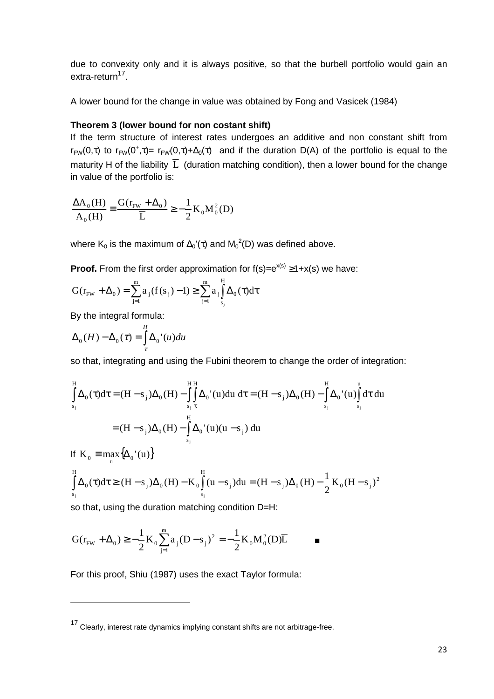due to convexity only and it is always positive, so that the burbell portfolio would gain an extra-return<sup>17</sup>.

A lower bound for the change in value was obtained by Fong and Vasicek (1984)

### **Theorem 3 (lower bound for non costant shift)**

If the term structure of interest rates undergoes an additive and non constant shift from  $r_{FW}(0,\tau)$  to  $r_{FW}(0^+,\tau)$  =  $r_{FW}(0,\tau)+\Delta_0(\tau)$  and if the duration D(A) of the portfolio is equal to the maturity H of the liability  $\overline{L}$  (duration matching condition), then a lower bound for the change in value of the portfolio is:

$$
\frac{\Delta A_0(H)}{A_0(H)} \equiv \frac{G(r_{\text{FW}} + \Delta_0)}{\overline{L}} \ge -\frac{1}{2} K_0 M_0^2(D)
$$

where K<sub>0</sub> is the maximum of  $\Delta_0'(\tau)$  and  $M_0^2(D)$  was defined above.

**Proof.** From the first order approximation for  $f(s)=e^{x(s)} \geq 1+x(s)$  we have:

$$
G(r_{FW} + \Delta_0) = \sum_{j=1}^{m} a_j (f(s_j) - 1) \ge \sum_{j=1}^{m} a_j \int_{s_j}^{H} \Delta_0(\tau) d\tau
$$

By the integral formula:

 $\overline{a}$ 

$$
\Delta_0(H) - \Delta_0(\tau) = \int_{\tau}^{H} \Delta_0'(u) du
$$

so that, integrating and using the Fubini theorem to change the order of integration:

$$
\int_{s_j}^{H} \Delta_0(\tau) d\tau = (H - s_j) \Delta_0(H) - \int_{s_j}^{H} \int_{\tau}^{H} \Delta_0'(u) du d\tau = (H - s_j) \Delta_0(H) - \int_{s_j}^{H} \Delta_0'(u) \int_{s_j}^{u} d\tau du
$$
  
=  $(H - s_j) \Delta_0(H) - \int_{s_j}^{H} \Delta_0'(u) (u - s_j) du$ 

If 
$$
K_0 = \max_{u} {\{\Delta_0'(u)\}}
$$
  
\n
$$
\int_{s_j}^{H} \Delta_0(\tau) d\tau \ge (H - s_j) \Delta_0(H) - K_0 \int_{s_j}^{H} (u - s_j) du = (H - s_j) \Delta_0(H) - \frac{1}{2} K_0(H - s_j)^2
$$

so that, using the duration matching condition D=H:

$$
G(r_{FW} + \Delta_0) \ge -\frac{1}{2} K_0 \sum_{j=1}^{m} a_j (D - s_j)^2 = -\frac{1}{2} K_0 M_0^2(D) \overline{L}
$$

For this proof, Shiu (1987) uses the exact Taylor formula:

<sup>17</sup> Clearly, interest rate dynamics implying constant shifts are not arbitrage-free.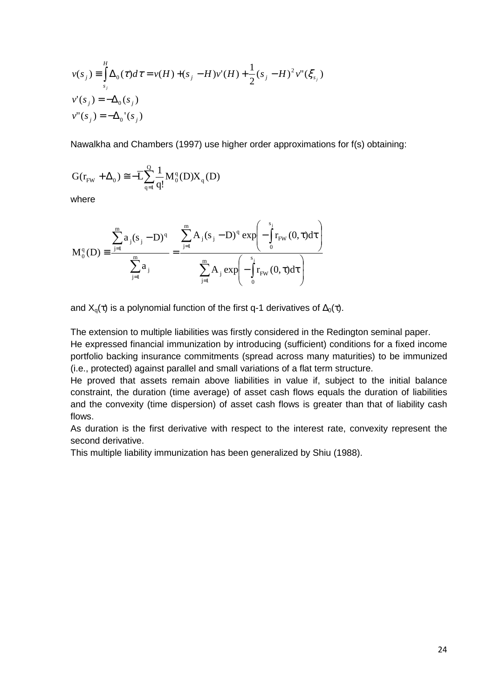$$
v(s_j) = \int_{s_j}^{H} \Delta_0(\tau) d\tau = v(H) + (s_j - H)v'(H) + \frac{1}{2}(s_j - H)^2 v''(\xi_{s_j})
$$
  

$$
v'(s_j) = -\Delta_0(s_j)
$$
  

$$
v''(s_j) = -\Delta_0'(s_j)
$$

Nawalkha and Chambers (1997) use higher order approximations for f(s) obtaining:

$$
G(r_{\!\scriptscriptstyle FW} + \Delta_{_0}) \cong -\overline{L} \! \sum_{\scriptscriptstyle q=1}^Q \frac{1}{q!} M^{\scriptscriptstyle q}_0(D) X_{_q}(D)
$$

where

$$
M_0^q(D) \equiv \frac{\displaystyle \sum_{j=1}^m a_j (s_j-D)^q}{\displaystyle \sum_{j=1}^m a_j} = \frac{\displaystyle \sum_{j=1}^m A_j (s_j-D)^q \exp\!\!\left( -\int\limits_0^{s_j} \! r_{\!FW}\left(0,\tau\right)\!d\tau \right)}{\displaystyle \sum_{j=1}^m A_j \exp\!\!\left( -\int\limits_0^{s_j} \! r_{\!FW}\left(0,\tau\right)\!d\tau \right)}
$$

and  $X_q(\tau)$  is a polynomial function of the first q-1 derivatives of  $\Delta_0(\tau)$ .

The extension to multiple liabilities was firstly considered in the Redington seminal paper.

He expressed financial immunization by introducing (sufficient) conditions for a fixed income portfolio backing insurance commitments (spread across many maturities) to be immunized (i.e., protected) against parallel and small variations of a flat term structure.

He proved that assets remain above liabilities in value if, subject to the initial balance constraint, the duration (time average) of asset cash flows equals the duration of liabilities and the convexity (time dispersion) of asset cash flows is greater than that of liability cash flows.

As duration is the first derivative with respect to the interest rate, convexity represent the second derivative.

This multiple liability immunization has been generalized by Shiu (1988).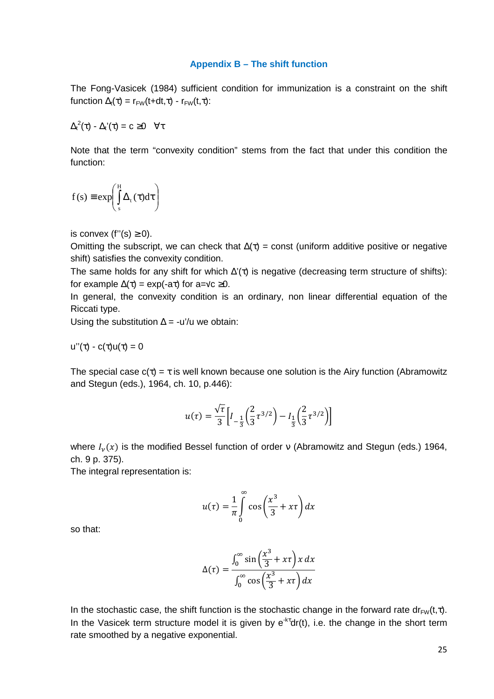#### **Appendix B – The shift function**

The Fong-Vasicek (1984) sufficient condition for immunization is a constraint on the shift function  $\Delta_t(\tau) = r_{FW}(t+dt,\tau) - r_{FW}(t,\tau)$ :

 $\Delta_t^2(\tau)$  -  $\Delta_t'(\tau) = c \geq 0 \quad \forall \tau$ 

Note that the term "convexity condition" stems from the fact that under this condition the function:

$$
f(s) \equiv \exp\left(\int_{s}^{H} \Delta_{t}(\tau) d\tau\right)
$$

is convex (f''(s)  $\geq$  0).

Omitting the subscript, we can check that  $\Delta(\tau)$  = const (uniform additive positive or negative shift) satisfies the convexity condition.

The same holds for any shift for which  $\Delta'(\tau)$  is negative (decreasing term structure of shifts): for example  $\Delta(\tau) = \exp(-a\tau)$  for a=√c ≥0.

In general, the convexity condition is an ordinary, non linear differential equation of the Riccati type.

Using the substitution  $\Delta$  = -u'/u we obtain:

$$
u''(\tau) - c(\tau)u(\tau) = 0
$$

The special case  $c(\tau) = \tau$  is well known because one solution is the Airy function (Abramowitz and Stegun (eds.), 1964, ch. 10, p.446):

$$
u(\tau) = \frac{\sqrt{\tau}}{3} \left[ I_{-\frac{1}{3}} \left( \frac{2}{3} \tau^{3/2} \right) - I_{\frac{1}{3}} \left( \frac{2}{3} \tau^{3/2} \right) \right]
$$

where  $I_\nu(x)$  is the modified Bessel function of order v (Abramowitz and Stegun (eds.) 1964, ch. 9 p. 375).

The integral representation is:

$$
u(\tau) = \frac{1}{\pi} \int_{0}^{\infty} \cos\left(\frac{x^3}{3} + x\tau\right) dx
$$

so that:

$$
\Delta(\tau) = \frac{\int_0^\infty \sin\left(\frac{x^3}{3} + x\tau\right) x \, dx}{\int_0^\infty \cos\left(\frac{x^3}{3} + x\tau\right) dx}
$$

In the stochastic case, the shift function is the stochastic change in the forward rate dr<sub>FW</sub>(t,τ). In the Vasicek term structure model it is given by  $e^{-k\tau}dr(t)$ , i.e. the change in the short term rate smoothed by a negative exponential.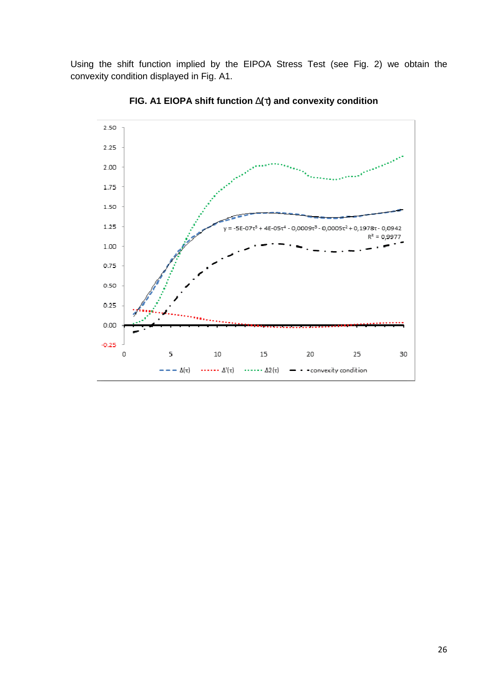Using the shift function implied by the EIPOA Stress Test (see Fig. 2) we obtain the convexity condition displayed in Fig. A1.



**FIG. A1 EIOPA shift function** ∆**(**τ**) and convexity condition**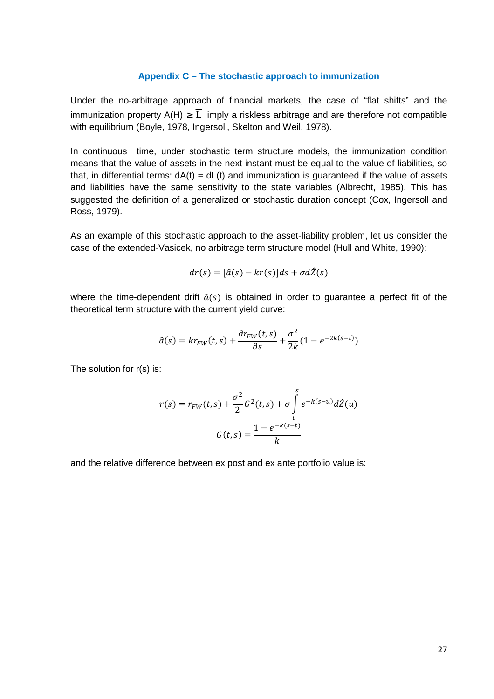#### **Appendix C – The stochastic approach to immunization**

Under the no-arbitrage approach of financial markets, the case of "flat shifts" and the immunization property A(H)  $\geq \overline{L}$  imply a riskless arbitrage and are therefore not compatible with equilibrium (Boyle, 1978, Ingersoll, Skelton and Weil, 1978).

In continuous time, under stochastic term structure models, the immunization condition means that the value of assets in the next instant must be equal to the value of liabilities, so that, in differential terms:  $dA(t) = dL(t)$  and immunization is guaranteed if the value of assets and liabilities have the same sensitivity to the state variables (Albrecht, 1985). This has suggested the definition of a generalized or stochastic duration concept (Cox, Ingersoll and Ross, 1979).

As an example of this stochastic approach to the asset-liability problem, let us consider the case of the extended-Vasicek, no arbitrage term structure model (Hull and White, 1990):

$$
dr(s) = [\hat{a}(s) - kr(s)]ds + \sigma d\hat{z}(s)
$$

where the time-dependent drift  $\hat{a}(s)$  is obtained in order to guarantee a perfect fit of the theoretical term structure with the current yield curve:

$$
\hat{a}(s) = kr_{FW}(t,s) + \frac{\partial r_{FW}(t,s)}{\partial s} + \frac{\sigma^2}{2k}(1 - e^{-2k(s-t)})
$$

The solution for r(s) is:

$$
r(s) = r_{FW}(t, s) + \frac{\sigma^2}{2} G^2(t, s) + \sigma \int_{t}^{s} e^{-k(s-u)} d\hat{Z}(u)
$$

$$
G(t, s) = \frac{1 - e^{-k(s-t)}}{k}
$$

and the relative difference between ex post and ex ante portfolio value is: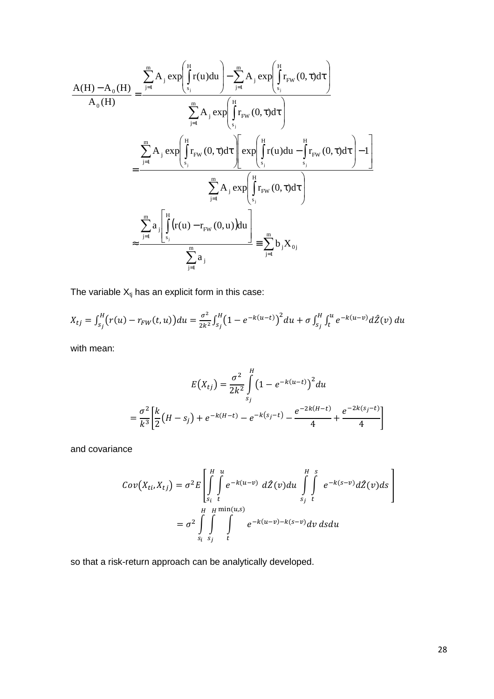$$
\frac{A(H) - A_0(H)}{A_0(H)} = \frac{\sum_{j=1}^{m} A_j \exp\left(\int_{s_j}^{H} r(u) du\right) - \sum_{j=1}^{m} A_j \exp\left(\int_{s_j}^{H} r_{FW}(0, \tau) d\tau\right)}{\sum_{j=1}^{m} A_j \exp\left(\int_{s_j}^{H} r_{FW}(0, \tau) d\tau\right)}
$$
\n
$$
= \frac{\sum_{j=1}^{m} A_j \exp\left(\int_{s_j}^{H} r_{FW}(0, \tau) d\tau\right) \exp\left(\int_{s_j}^{H} r(u) du - \int_{s_j}^{H} r_{FW}(0, \tau) d\tau\right) - 1}{\sum_{j=1}^{m} A_j \exp\left(\int_{s_j}^{H} r_{FW}(0, \tau) d\tau\right)}
$$
\n
$$
\approx \frac{\sum_{j=1}^{m} a_j \left[\int_{s_j}^{H} (r(u) - r_{FW}(0, u)) du\right]}{\sum_{j=1}^{m} a_j} = \sum_{j=1}^{m} b_j X_{0j}
$$

The variable  $X_{tj}$  has an explicit form in this case:

$$
X_{tj} = \int_{s_j}^{H} (r(u) - r_{FW}(t, u)) du = \frac{\sigma^2}{2k^2} \int_{s_j}^{H} (1 - e^{-k(u-t)})^2 du + \sigma \int_{s_j}^{H} \int_{t}^{u} e^{-k(u-v)} d\hat{Z}(v) du
$$

with mean:

$$
E(X_{tj}) = \frac{\sigma^2}{2k^2} \int_{s_j}^{H} \left(1 - e^{-k(u-t)}\right)^2 du
$$
  
=  $\frac{\sigma^2}{k^3} \left[ \frac{k}{2} \left(H - s_j\right) + e^{-k(H-t)} - e^{-k(s_j-t)} - \frac{e^{-2k(H-t)}}{4} + \frac{e^{-2k(s_j-t)}}{4} \right]$ 

and covariance

$$
Cov(X_{ti}, X_{tj}) = \sigma^2 E \left[ \int_{S_i}^H \int_{t}^u e^{-k(u-v)} d\hat{Z}(v) du \int_{S_j}^H \int_{t}^s e^{-k(s-v)} d\hat{Z}(v) ds \right]
$$
  
=  $\sigma^2 \int_{S_i}^H \int_{S_j}^H \int_{t}^{\min(u,s)} e^{-k(u-v) - k(s-v)} dv ds du$ 

so that a risk-return approach can be analytically developed.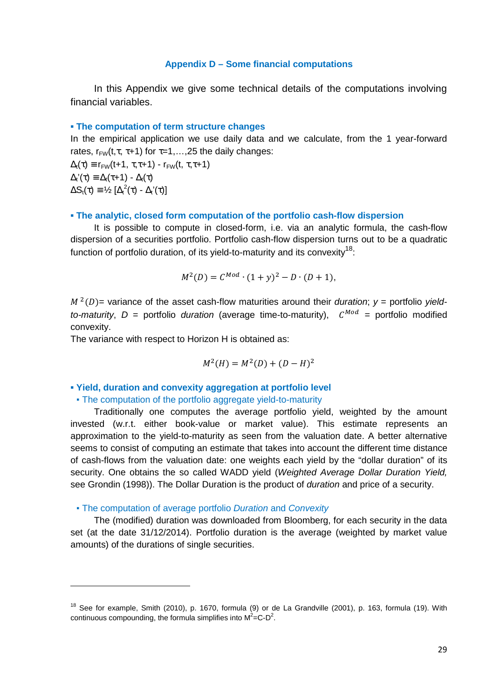#### **Appendix D – Some financial computations**

In this Appendix we give some technical details of the computations involving financial variables.

#### **▪ The computation of term structure changes**

In the empirical application we use daily data and we calculate, from the 1 year-forward rates,  $r_{FW}(t, \tau, \tau+1)$  for  $\tau=1,\ldots,25$  the daily changes:

 $\Delta_t(\tau) \equiv r_{FW}(t+1, \tau, \tau+1) - r_{FW}(t, \tau, \tau+1)$  $\Delta_{t}(\tau) \equiv \Delta_{t}(\tau+1) - \Delta_{t}(\tau)$  $\Delta S_t(\tau) \equiv \frac{1}{2} \left[ \Delta_t^2(\tau) - \Delta_t'(\tau) \right]$ 

#### **▪ The analytic, closed form computation of the portfolio cash-flow dispersion**

It is possible to compute in closed-form, i.e. via an analytic formula, the cash-flow dispersion of a securities portfolio. Portfolio cash-flow dispersion turns out to be a quadratic function of portfolio duration, of its yield-to-maturity and its convexity  $18$ .

$$
M^{2}(D) = C^{Mod} \cdot (1+y)^{2} - D \cdot (D+1),
$$

 $M^2(D)$  variance of the asset cash-flow maturities around their *duration*;  $y =$  portfolio *yieldto-maturity*,  $D =$  portfolio *duration* (average time-to-maturity),  $C^{Mod} =$  portfolio modified convexity.

The variance with respect to Horizon H is obtained as:

$$
M^2(H) = M^2(D) + (D - H)^2
$$

#### **▪ Yield, duration and convexity aggregation at portfolio level**

#### • The computation of the portfolio aggregate yield-to-maturity

Traditionally one computes the average portfolio yield, weighted by the amount invested (w.r.t. either book-value or market value). This estimate represents an approximation to the yield-to-maturity as seen from the valuation date. A better alternative seems to consist of computing an estimate that takes into account the different time distance of cash-flows from the valuation date: one weights each yield by the "dollar duration" of its security. One obtains the so called WADD yield (Weighted Average Dollar Duration Yield, see Grondin (1998)). The Dollar Duration is the product of *duration* and price of a security.

#### • The computation of average portfolio Duration and Convexity

 $\overline{a}$ 

The (modified) duration was downloaded from Bloomberg, for each security in the data set (at the date 31/12/2014). Portfolio duration is the average (weighted by market value amounts) of the durations of single securities.

 $18$  See for example, Smith (2010), p. 1670, formula (9) or de La Grandville (2001), p. 163, formula (19). With continuous compounding, the formula simplifies into  $M^2 = C-D^2$ .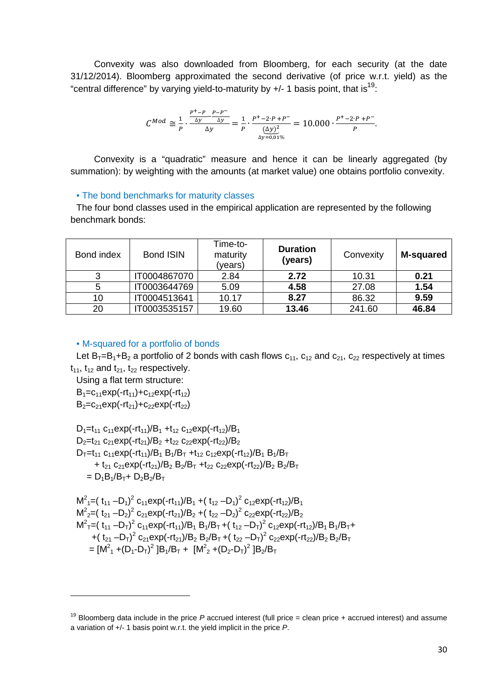Convexity was also downloaded from Bloomberg, for each security (at the date 31/12/2014). Bloomberg approximated the second derivative (of price w.r.t. yield) as the "central difference" by varying yield-to-maturity by  $+/- 1$  basis point, that is<sup>19</sup>:

$$
C^{Mod} \cong \frac{1}{p} \cdot \frac{\frac{p^+ - p}{\Delta y} - \frac{p - p^-}{\Delta y}}{\Delta y} = \frac{1}{p} \cdot \frac{p^+ - 2 \cdot p + p^-}{\frac{(\Delta y)^2}{\Delta y = 0.01\%}} = 10.000 \cdot \frac{p^+ - 2 \cdot p + p^-}{p}.
$$

Convexity is a "quadratic" measure and hence it can be linearly aggregated (by summation): by weighting with the amounts (at market value) one obtains portfolio convexity.

#### **.** The bond benchmarks for maturity classes

The four bond classes used in the empirical application are represented by the following benchmark bonds:

| Bond index | <b>Bond ISIN</b> | Time-to-<br>maturity<br>(years) | <b>Duration</b><br>(years) | Convexity | <b>M-squared</b> |
|------------|------------------|---------------------------------|----------------------------|-----------|------------------|
|            | IT0004867070     | 2.84                            | 2.72                       | 10.31     | 0.21             |
|            | IT0003644769     | 5.09                            | 4.58                       | 27.08     | 1.54             |
| 10         | IT0004513641     | 10.17                           | 8.27                       | 86.32     | 9.59             |
| 20         | IT0003535157     | 19.60                           | 13.46                      | 241.60    | 46.84            |

#### ▪ M-squared for a portfolio of bonds

Let  $B_1 = B_1 + B_2$  a portfolio of 2 bonds with cash flows  $c_{11}$ ,  $c_{12}$  and  $c_{21}$ ,  $c_{22}$  respectively at times  $t_{11}$ ,  $t_{12}$  and  $t_{21}$ ,  $t_{22}$  respectively.

Using a flat term structure:

 $B_1 = c_{11}exp(-rt_{11})+c_{12}exp(-rt_{12})$ 

 $B_2=C_{21}exp(-rt_{21})+C_{22}exp(-rt_{22})$ 

 $D_1=t_{11}$   $C_{11}$ exp(-rt<sub>11</sub>)/B<sub>1</sub> +t<sub>12</sub>  $C_{12}$ exp(-rt<sub>12</sub>)/B<sub>1</sub>  $D_2=t_{21}$  c<sub>21</sub>exp(-rt<sub>21</sub>)/B<sub>2</sub> +t<sub>22</sub> c<sub>22</sub>exp(-rt<sub>22</sub>)/B<sub>2</sub>  $D_T = t_{11} c_{11} exp(-rt_{11})/B_1 B_1/B_T + t_{12} c_{12} exp(-rt_{12})/B_1 B_1/B_T$ + t<sub>21</sub> c<sub>21</sub>exp(-rt<sub>21</sub>)/B<sub>2</sub> B<sub>2</sub>/B<sub>T</sub> +t<sub>22</sub> c<sub>22</sub>exp(-rt<sub>22</sub>)/B<sub>2</sub> B<sub>2</sub>/B<sub>T</sub>  $= D_1B_1/B_T + D_2B_2/B_T$ 

$$
M^{2}_{1} = (t_{11} - D_{1})^{2} c_{11} exp(-rt_{11})/B_{1} + (t_{12} - D_{1})^{2} c_{12} exp(-rt_{12})/B_{1}
$$
  
\n
$$
M^{2}_{2} = (t_{21} - D_{2})^{2} c_{21} exp(-rt_{21})/B_{2} + (t_{22} - D_{2})^{2} c_{22} exp(-rt_{22})/B_{2}
$$
  
\n
$$
M^{2}_{T} = (t_{11} - D_{T})^{2} c_{11} exp(-rt_{11})/B_{1} B_{1}/B_{T} + (t_{12} - D_{T})^{2} c_{12} exp(-rt_{12})/B_{1} B_{1}/B_{T} + (t_{21} - D_{T})^{2} c_{21} exp(-rt_{21})/B_{2} B_{2}/B_{T} + (t_{22} - D_{T})^{2} c_{22} exp(-rt_{22})/B_{2} B_{2}/B_{T}
$$
  
\n
$$
= [M^{2}_{1} + (D_{1} - D_{T})^{2} B_{1}/B_{T} + [M^{2}_{2} + (D_{2} - D_{T})^{2} B_{2}/B_{T}]
$$

<sup>&</sup>lt;sup>19</sup> Bloomberg data include in the price P accrued interest (full price = clean price + accrued interest) and assume a variation of +/- 1 basis point w.r.t. the yield implicit in the price P.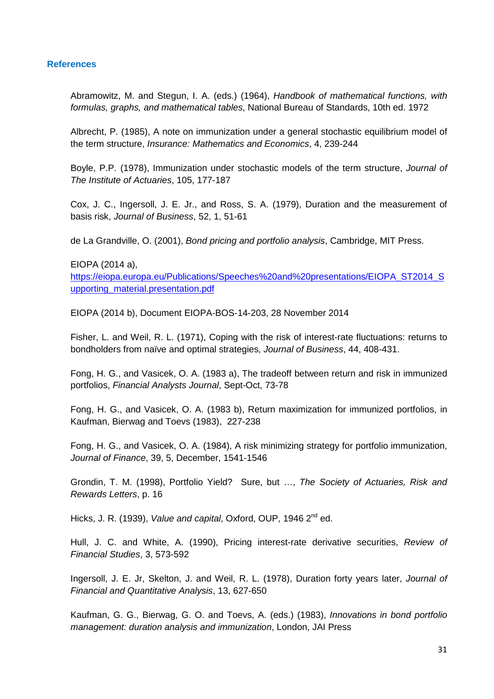#### **References**

Abramowitz, M. and Stegun, I. A. (eds.) (1964), Handbook of mathematical functions, with formulas, graphs, and mathematical tables, National Bureau of Standards, 10th ed. 1972

Albrecht, P. (1985), A note on immunization under a general stochastic equilibrium model of the term structure, Insurance: Mathematics and Economics, 4, 239-244

Boyle, P.P. (1978), Immunization under stochastic models of the term structure, Journal of The Institute of Actuaries, 105, 177-187

Cox, J. C., Ingersoll, J. E. Jr., and Ross, S. A. (1979), Duration and the measurement of basis risk, Journal of Business, 52, 1, 51-61

de La Grandville, O. (2001), Bond pricing and portfolio analysis, Cambridge, MIT Press.

EIOPA (2014 a),

https://eiopa.europa.eu/Publications/Speeches%20and%20presentations/EIOPA\_ST2014\_S upporting\_material.presentation.pdf

EIOPA (2014 b), Document EIOPA-BOS-14-203, 28 November 2014

Fisher, L. and Weil, R. L. (1971), Coping with the risk of interest-rate fluctuations: returns to bondholders from naïve and optimal strategies, Journal of Business, 44, 408-431.

Fong, H. G., and Vasicek, O. A. (1983 a), The tradeoff between return and risk in immunized portfolios, Financial Analysts Journal, Sept-Oct, 73-78

Fong, H. G., and Vasicek, O. A. (1983 b), Return maximization for immunized portfolios, in Kaufman, Bierwag and Toevs (1983), 227-238

Fong, H. G., and Vasicek, O. A. (1984), A risk minimizing strategy for portfolio immunization, Journal of Finance, 39, 5, December, 1541-1546

Grondin, T. M. (1998), Portfolio Yield? Sure, but ..., The Society of Actuaries, Risk and Rewards Letters, p. 16

Hicks, J. R. (1939), Value and capital, Oxford, OUP, 1946 2<sup>nd</sup> ed.

Hull, J. C. and White, A. (1990), Pricing interest-rate derivative securities, Review of Financial Studies, 3, 573-592

Ingersoll, J. E. Jr, Skelton, J. and Weil, R. L. (1978), Duration forty years later, Journal of Financial and Quantitative Analysis, 13, 627-650

Kaufman, G. G., Bierwag, G. O. and Toevs, A. (eds.) (1983), Innovations in bond portfolio management: duration analysis and immunization, London, JAI Press